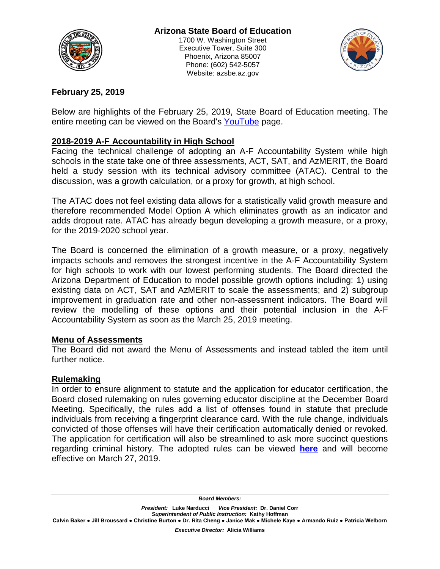

Website: azsbe.az.gov



### **February 25, 2019**

Below are highlights of the February 25, 2019, State Board of Education meeting. The entire meeting can be viewed on the Board's [YouTube](https://www.youtube.com/channel/UCsNwAaD9tyciKskyp0R2e5A/videos) page.

# **2018-2019 A-F Accountability in High School**

Facing the technical challenge of adopting an A-F Accountability System while high schools in the state take one of three assessments, ACT, SAT, and AzMERIT, the Board held a study session with its technical advisory committee (ATAC). Central to the discussion, was a growth calculation, or a proxy for growth, at high school.

The ATAC does not feel existing data allows for a statistically valid growth measure and therefore recommended Model Option A which eliminates growth as an indicator and adds dropout rate. ATAC has already begun developing a growth measure, or a proxy, for the 2019-2020 school year.

The Board is concerned the elimination of a growth measure, or a proxy, negatively impacts schools and removes the strongest incentive in the A-F Accountability System for high schools to work with our lowest performing students. The Board directed the Arizona Department of Education to model possible growth options including: 1) using existing data on ACT, SAT and AzMERIT to scale the assessments; and 2) subgroup improvement in graduation rate and other non-assessment indicators. The Board will review the modelling of these options and their potential inclusion in the A-F Accountability System as soon as the March 25, 2019 meeting.

#### **Menu of Assessments**

The Board did not award the Menu of Assessments and instead tabled the item until further notice.

#### **Rulemaking**

In order to ensure alignment to statute and the application for educator certification, the Board closed rulemaking on rules governing educator discipline at the December Board Meeting. Specifically, the rules add a list of offenses found in statute that preclude individuals from receiving a fingerprint clearance card. With the rule change, individuals convicted of those offenses will have their certification automatically denied or revoked. The application for certification will also be streamlined to ask more succinct questions regarding criminal history. The adopted rules can be viewed **[here](https://azsbe.az.gov/rules)** and will become effective on March 27, 2019.

*Board Members:* 

*President:* **Luke Narducci** *Vice President:* **Dr. Daniel Corr** *Superintendent of Public Instruction:* **Kathy Hoffman**

**Calvin Baker ● Jill Broussard ● Christine Burton ● Dr. Rita Cheng ● Janice Mak ● Michele Kaye ● Armando Ruiz ● Patricia Welborn**